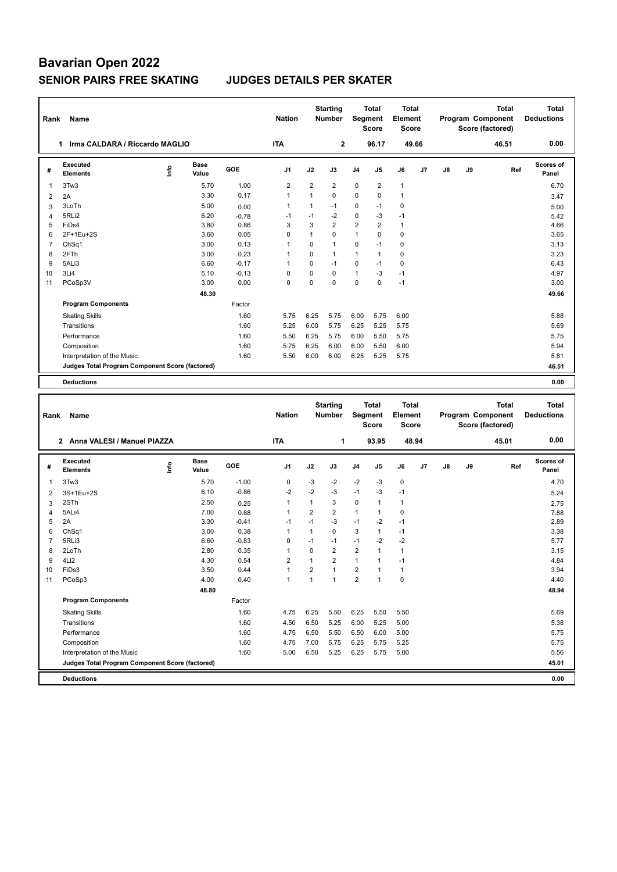## **Bavarian Open 2022 SENIOR PAIRS FREE SKATING JUDGES DETAILS PER SKATER**

| Rank           | <b>Name</b>                                     |   |               |         | <b>Nation</b>  |              | <b>Starting</b><br><b>Number</b> | Segment        | Total<br><b>Score</b> | Total<br>Element<br><b>Score</b> |                |    |    | <b>Total</b><br>Program Component<br>Score (factored) | Total<br><b>Deductions</b> |
|----------------|-------------------------------------------------|---|---------------|---------|----------------|--------------|----------------------------------|----------------|-----------------------|----------------------------------|----------------|----|----|-------------------------------------------------------|----------------------------|
|                | Irma CALDARA / Riccardo MAGLIO<br>1             |   |               |         | <b>ITA</b>     |              | $\mathbf{2}$                     |                | 96.17                 |                                  | 49.66          |    |    | 46.51                                                 | 0.00                       |
| #              | Executed<br><b>Elements</b>                     | ۴ | Base<br>Value | GOE     | J <sub>1</sub> | J2           | J3                               | J <sub>4</sub> | J <sub>5</sub>        | J6                               | J <sub>7</sub> | J8 | J9 | Ref                                                   | Scores of<br>Panel         |
| $\overline{1}$ | 3Tw3                                            |   | 5.70          | 1.00    | $\overline{2}$ | 2            | $\overline{2}$                   | $\mathbf 0$    | 2                     | $\mathbf{1}$                     |                |    |    |                                                       | 6.70                       |
| 2              | 2A                                              |   | 3.30          | 0.17    | $\overline{1}$ | $\mathbf{1}$ | 0                                | $\mathbf 0$    | 0                     | $\overline{1}$                   |                |    |    |                                                       | 3.47                       |
| 3              | 3LoTh                                           |   | 5.00          | 0.00    | $\mathbf{1}$   | $\mathbf{1}$ | $-1$                             | 0              | $-1$                  | 0                                |                |    |    |                                                       | 5.00                       |
| 4              | 5RLi2                                           |   | 6.20          | $-0.78$ | $-1$           | $-1$         | $-2$                             | $\mathbf 0$    | -3                    | $-1$                             |                |    |    |                                                       | 5.42                       |
| 5              | FiDs4                                           |   | 3.80          | 0.86    | 3              | 3            | $\overline{2}$                   | $\overline{2}$ | $\overline{2}$        | $\mathbf{1}$                     |                |    |    |                                                       | 4.66                       |
| 6              | 2F+1Eu+2S                                       |   | 3.60          | 0.05    | 0              | 1            | $\Omega$                         | $\mathbf{1}$   | $\Omega$              | 0                                |                |    |    |                                                       | 3.65                       |
| $\overline{7}$ | ChSq1                                           |   | 3.00          | 0.13    | $\overline{1}$ | $\Omega$     | 1                                | 0              | $-1$                  | 0                                |                |    |    |                                                       | 3.13                       |
| 8              | 2FTh                                            |   | 3.00          | 0.23    | -1             | $\Omega$     | 1                                | $\mathbf{1}$   | $\mathbf{1}$          | 0                                |                |    |    |                                                       | 3.23                       |
| 9              | 5ALi3                                           |   | 6.60          | $-0.17$ | $\overline{1}$ | $\Omega$     | $-1$                             | 0              | $-1$                  | 0                                |                |    |    |                                                       | 6.43                       |
| 10             | 3Li4                                            |   | 5.10          | $-0.13$ | 0              | $\Omega$     | $\Omega$                         | $\mathbf{1}$   | -3                    | $-1$                             |                |    |    |                                                       | 4.97                       |
| 11             | PCoSp3V                                         |   | 3.00          | 0.00    | $\mathbf 0$    | $\Omega$     | $\Omega$                         | 0              | $\Omega$              | $-1$                             |                |    |    |                                                       | 3.00                       |
|                |                                                 |   | 48.30         |         |                |              |                                  |                |                       |                                  |                |    |    |                                                       | 49.66                      |
|                | <b>Program Components</b>                       |   |               | Factor  |                |              |                                  |                |                       |                                  |                |    |    |                                                       |                            |
|                | <b>Skating Skills</b>                           |   |               | 1.60    | 5.75           | 6.25         | 5.75                             | 6.00           | 5.75                  | 6.00                             |                |    |    |                                                       | 5.88                       |
|                | Transitions                                     |   |               | 1.60    | 5.25           | 6.00         | 5.75                             | 6.25           | 5.25                  | 5.75                             |                |    |    |                                                       | 5.69                       |
|                | Performance                                     |   |               | 1.60    | 5.50           | 6.25         | 5.75                             | 6.00           | 5.50                  | 5.75                             |                |    |    |                                                       | 5.75                       |
|                | Composition                                     |   |               | 1.60    | 5.75           | 6.25         | 6.00                             | 6.00           | 5.50                  | 6.00                             |                |    |    |                                                       | 5.94                       |
|                | Interpretation of the Music                     |   |               | 1.60    | 5.50           | 6.00         | 6.00                             | 6.25           | 5.25                  | 5.75                             |                |    |    |                                                       | 5.81                       |
|                | Judges Total Program Component Score (factored) |   |               |         |                |              |                                  |                |                       |                                  |                |    |    |                                                       | 46.51                      |
|                | <b>Deductions</b>                               |   |               |         |                |              |                                  |                |                       |                                  |                |    |    |                                                       | 0.00                       |

| Rank           | Name                                            |    |                      |            | <b>Nation</b>  |                | <b>Starting</b><br><b>Number</b> | Segment        | <b>Total</b><br><b>Score</b> | Total<br>Element<br><b>Score</b> |       |               |    | <b>Total</b><br>Program Component<br>Score (factored) | <b>Total</b><br><b>Deductions</b> |
|----------------|-------------------------------------------------|----|----------------------|------------|----------------|----------------|----------------------------------|----------------|------------------------------|----------------------------------|-------|---------------|----|-------------------------------------------------------|-----------------------------------|
|                | Anna VALESI / Manuel PIAZZA<br>$\mathbf{2}$     |    |                      |            | <b>ITA</b>     |                | 1                                |                | 93.95                        |                                  | 48.94 |               |    | 45.01                                                 | 0.00                              |
| #              | Executed<br><b>Elements</b>                     | ۴٥ | <b>Base</b><br>Value | <b>GOE</b> | J <sub>1</sub> | J2             | J3                               | J <sub>4</sub> | J5                           | J6                               | J7    | $\mathsf{J}8$ | J9 | Ref                                                   | Scores of<br>Panel                |
| 1              | 3Tw3                                            |    | 5.70                 | $-1.00$    | 0              | $-3$           | $-2$                             | $-2$           | $-3$                         | $\pmb{0}$                        |       |               |    |                                                       | 4.70                              |
| $\overline{2}$ | 3S+1Eu+2S                                       |    | 6.10                 | $-0.86$    | $-2$           | $-2$           | $-3$                             | $-1$           | $-3$                         | $-1$                             |       |               |    |                                                       | 5.24                              |
| 3              | 2STh                                            |    | 2.50                 | 0.25       | 1              | 1              | 3                                | 0              | $\overline{1}$               | $\mathbf{1}$                     |       |               |    |                                                       | 2.75                              |
| 4              | 5ALi4                                           |    | 7.00                 | 0.88       | $\mathbf{1}$   | $\overline{2}$ | $\overline{2}$                   | $\mathbf{1}$   | $\mathbf{1}$                 | 0                                |       |               |    |                                                       | 7.88                              |
| 5              | 2A                                              |    | 3.30                 | $-0.41$    | $-1$           | $-1$           | $-3$                             | $-1$           | $-2$                         | $-1$                             |       |               |    |                                                       | 2.89                              |
| 6              | Ch <sub>Sq1</sub>                               |    | 3.00                 | 0.38       | 1              | $\mathbf{1}$   | $\Omega$                         | 3              | $\mathbf{1}$                 | $-1$                             |       |               |    |                                                       | 3.38                              |
| $\overline{7}$ | 5RLi3                                           |    | 6.60                 | $-0.83$    | 0              | $-1$           | $-1$                             | $-1$           | $-2$                         | $-2$                             |       |               |    |                                                       | 5.77                              |
| 8              | 2LoTh                                           |    | 2.80                 | 0.35       | 1              | $\Omega$       | $\overline{2}$                   | $\overline{2}$ | $\overline{1}$               | $\mathbf{1}$                     |       |               |    |                                                       | 3.15                              |
| 9              | 4Li <sub>2</sub>                                |    | 4.30                 | 0.54       | $\overline{2}$ | 1              | $\overline{2}$                   | $\mathbf{1}$   | $\overline{1}$               | $-1$                             |       |               |    |                                                       | 4.84                              |
| 10             | FiDs3                                           |    | 3.50                 | 0.44       | 1              | $\overline{2}$ | $\mathbf{1}$                     | 2              | $\overline{1}$               | $\mathbf{1}$                     |       |               |    |                                                       | 3.94                              |
| 11             | PCoSp3                                          |    | 4.00                 | 0.40       | 1              | 1              | $\mathbf{1}$                     | $\overline{2}$ | $\overline{1}$               | 0                                |       |               |    |                                                       | 4.40                              |
|                |                                                 |    | 48.80                |            |                |                |                                  |                |                              |                                  |       |               |    |                                                       | 48.94                             |
|                | <b>Program Components</b>                       |    |                      | Factor     |                |                |                                  |                |                              |                                  |       |               |    |                                                       |                                   |
|                | <b>Skating Skills</b>                           |    |                      | 1.60       | 4.75           | 6.25           | 5.50                             | 6.25           | 5.50                         | 5.50                             |       |               |    |                                                       | 5.69                              |
|                | Transitions                                     |    |                      | 1.60       | 4.50           | 6.50           | 5.25                             | 6.00           | 5.25                         | 5.00                             |       |               |    |                                                       | 5.38                              |
|                | Performance                                     |    |                      | 1.60       | 4.75           | 6.50           | 5.50                             | 6.50           | 6.00                         | 5.00                             |       |               |    |                                                       | 5.75                              |
|                | Composition                                     |    |                      | 1.60       | 4.75           | 7.00           | 5.75                             | 6.25           | 5.75                         | 5.25                             |       |               |    |                                                       | 5.75                              |
|                | Interpretation of the Music                     |    |                      | 1.60       | 5.00           | 6.50           | 5.25                             | 6.25           | 5.75                         | 5.00                             |       |               |    |                                                       | 5.56                              |
|                | Judges Total Program Component Score (factored) |    |                      |            |                |                |                                  |                |                              |                                  |       |               |    |                                                       | 45.01                             |
|                | <b>Deductions</b>                               |    |                      |            |                |                |                                  |                |                              |                                  |       |               |    |                                                       | 0.00                              |